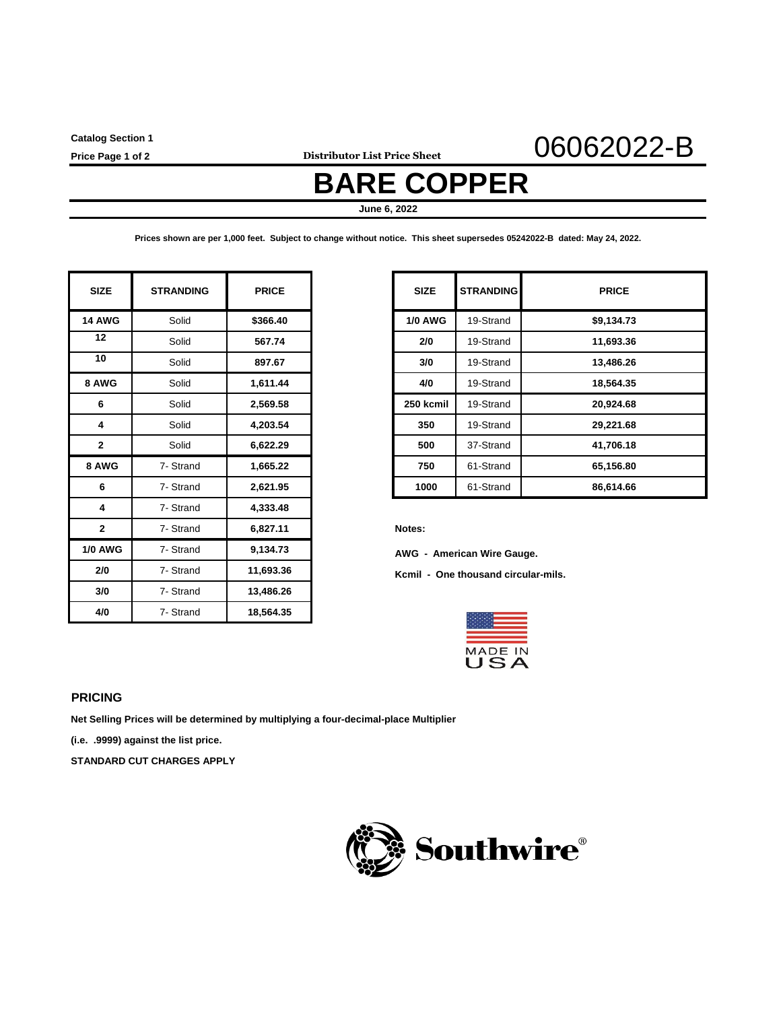**Catalog Section 1**

**Price Page 1 of 2 Distributor List Price Sheet** 

### 06062022-B

# **BARE COPPER**

**June 6, 2022**

**Prices shown are per 1,000 feet. Subject to change without notice. This sheet supersedes 05242022-B dated: May 24, 2022.**

| <b>SIZE</b>    | <b>STRANDING</b> | <b>PRICE</b> | SI.            |
|----------------|------------------|--------------|----------------|
| <b>14 AWG</b>  | Solid            | \$366.40     | 1/0            |
| 12             | Solid            | 567.74       | $\overline{2}$ |
| 10             | Solid            | 897.67       | 3              |
| 8 AWG          | Solid            | 1,611.44     | 4              |
| 6              | Solid            | 2,569.58     | 250            |
| 4              | Solid            | 4,203.54     | 3 <sub>l</sub> |
| $\overline{2}$ | Solid            | 6,622.29     | 5 <sub>0</sub> |
| 8 AWG          | 7- Strand        | 1,665.22     | $\mathbf{7}$   |
| 6              | 7- Strand        | 2,621.95     | 10             |
| 4              | 7- Strand        | 4,333.48     |                |
| $\mathbf{2}$   | 7- Strand        | 6,827.11     | Notes:         |
| <b>1/0 AWG</b> | 7- Strand        | 9,134.73     | <b>AWG</b>     |
| 2/0            | 7- Strand        | 11,693.36    | Kcmil          |
| 3/0            | 7- Strand        | 13,486.26    |                |
| 4/0            | 7- Strand        | 18,564.35    |                |

| <b>SIZE</b>   | <b>STRANDING</b> | <b>PRICE</b> | <b>SIZE</b>    | <b>STRANDING</b> | <b>PRICE</b> |
|---------------|------------------|--------------|----------------|------------------|--------------|
| <b>14 AWG</b> | Solid            | \$366.40     | <b>1/0 AWG</b> | 19-Strand        | \$9,134.73   |
| 12            | Solid            | 567.74       | 2/0            | 19-Strand        | 11,693.36    |
| 10            | Solid            | 897.67       | 3/0            | 19-Strand        | 13,486.26    |
| 8 AWG         | Solid            | 1,611.44     | 4/0            | 19-Strand        | 18,564.35    |
| 6             | Solid            | 2,569.58     | 250 kcmil      | 19-Strand        | 20,924.68    |
| 4             | Solid            | 4,203.54     | 350            | 19-Strand        | 29,221.68    |
| $\mathbf{2}$  | Solid            | 6,622.29     | 500            | 37-Strand        | 41,706.18    |
| 8 AWG         | 7- Strand        | 1,665.22     | 750            | 61-Strand        | 65,156.80    |
| 6             | 7- Strand        | 2,621.95     | 1000           | 61-Strand        | 86,614.66    |

**AWG** - American Wire Gauge.

**Kcmil - One thousand circular-mils.** 



#### **PRICING**

**Net Selling Prices will be determined by multiplying a four-decimal-place Multiplier** 

**(i.e. .9999) against the list price.** 

**STANDARD CUT CHARGES APPLY**